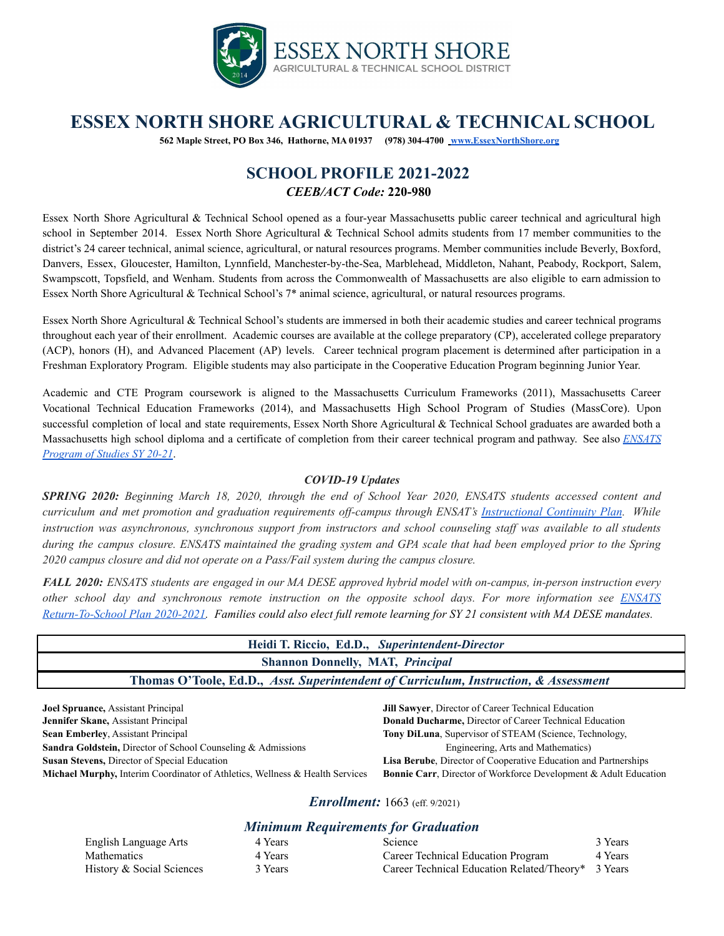

# **ESSEX NORTH SHORE AGRICULTURAL & TECHNICAL SCHOOL**

**562 Maple Street, PO Box 346, Hathorne, MA 01937 (978) 304-4700 [www.EssexNorthShore.org](http://www.essexnorthshore.org)**

## **SCHOOL PROFILE 2021-2022** *CEEB/ACT Code:* **220-980**

Essex North Shore Agricultural & Technical School opened as a four-year Massachusetts public career technical and agricultural high school in September 2014. Essex North Shore Agricultural & Technical School admits students from 17 member communities to the district's 24 career technical, animal science, agricultural, or natural resources programs. Member communities include Beverly, Boxford, Danvers, Essex, Gloucester, Hamilton, Lynnfield, Manchester-by-the-Sea, Marblehead, Middleton, Nahant, Peabody, Rockport, Salem, Swampscott, Topsfield, and Wenham. Students from across the Commonwealth of Massachusetts are also eligible to earn admission to Essex North Shore Agricultural & Technical School's 7\* animal science, agricultural, or natural resources programs.

Essex North Shore Agricultural & Technical School's students are immersed in both their academic studies and career technical programs throughout each year of their enrollment. Academic courses are available at the college preparatory (CP), accelerated college preparatory (ACP), honors (H), and Advanced Placement (AP) levels. Career technical program placement is determined after participation in a Freshman Exploratory Program. Eligible students may also participate in the Cooperative Education Program beginning Junior Year.

Academic and CTE Program coursework is aligned to the Massachusetts Curriculum Frameworks (2011), Massachusetts Career Vocational Technical Education Frameworks (2014), and Massachusetts High School Program of Studies (MassCore). Upon successful completion of local and state requirements, Essex North Shore Agricultural & Technical School graduates are awarded both a Massachusetts high school diploma and a certificate of completion from their career technical program and pathway. See also *[ENSATS](https://essexnorthshore.org/wp-content/uploads/2020/08/ENSATS-Program-of-Studies-2020-21-FINAL-8_10_2020.pdf) [Program](https://essexnorthshore.org/wp-content/uploads/2020/08/ENSATS-Program-of-Studies-2020-21-FINAL-8_10_2020.pdf) of Studies SY 20-21*.

### *COVID-19 Updates*

SPRING 2020: Beginning March 18, 2020, through the end of School Year 2020, ENSATS students accessed content and curriculum and met promotion and graduation requirements off-campus through ENSAT's [Instructional](https://www.facebook.com/EssexNorthShore/photos/our-instructional-continuity-plan-will-begin-tomorrow-wednesday-march-18th-to-cl/1069425206769897/) Continuity Plan. While instruction was asynchronous, synchronous support from instructors and school counseling staff was available to all students during the campus closure. ENSATS maintained the grading system and GPA scale that had been employed prior to the Spring *2020 campus closure and did not operate on a Pass/Fail system during the campus closure.*

FALL 2020: ENSATS students are engaged in our MA DESE approved hybrid model with on-campus, in-person instruction every other school day and synchronous remote instruction on the opposite school days. For more information see [ENSATS](https://docs.google.com/document/d/1nF1-TsUyQhtkgebLDEIAb8XU-yEnShmvaEbYsZNgwZ0/edit?usp=sharing) [Return-To-School](https://docs.google.com/document/d/1nF1-TsUyQhtkgebLDEIAb8XU-yEnShmvaEbYsZNgwZ0/edit?usp=sharing) Plan 2020-2021. Families could also elect full remote learning for SY 21 consistent with MA DESE mandates.

| <b>Shannon Donnelly, MAT, Principal</b>                                              |  |  |  |  |  |
|--------------------------------------------------------------------------------------|--|--|--|--|--|
| Thomas O'Toole, Ed.D., Asst. Superintendent of Curriculum, Instruction, & Assessment |  |  |  |  |  |

**Joel Spruance,** Assistant Principal **Jilli Jilli Sawyer**, Director of Career Technical Education **Jennifer Skane,** Assistant Principal **Director Career Technical Education Donald** Ducharme, Director of Career Technical Education **Sean Emberley**, Assistant Principal **Tony** DiLuna, Supervisor of STEAM (Science, Technology, **Sandra Goldstein,** Director of School Counseling & Admissions Engineering, Arts and Mathematics) **Susan Stevens,** Director of Special Education **Lisa Berube**, Director of Cooperative Education and Partnerships **Michael Murphy,** Interim Coordinator of Athletics, Wellness & Health Services **Bonnie Carr**, Director of Workforce Development & Adult Education

*<i>Enrollment:* 1663 (eff. 9/2021)

## *Minimum Requirements for Graduation*

| English Language Arts     | 4 Years | Science                                            | 3 Years |
|---------------------------|---------|----------------------------------------------------|---------|
| <b>Mathematics</b>        | 4 Years | Career Technical Education Program                 | 4 Years |
| History & Social Sciences | 3 Years | Career Technical Education Related/Theory* 3 Years |         |